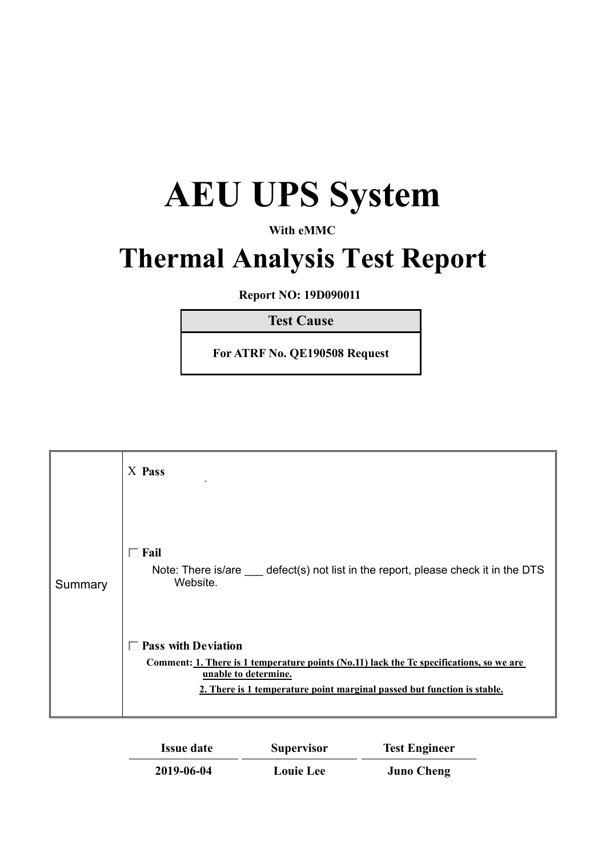# **AEU UPS System**

#### **With eMMC**

## **Thermal Analysis Test Report**

**Report NO: 19D090011** 

### **Test Cause**

**For ATRF No. QE190508 Request**

|         | X Pass                                                                                                                                                                                                                   |
|---------|--------------------------------------------------------------------------------------------------------------------------------------------------------------------------------------------------------------------------|
| Summary | $\Box$ Fail<br>Note: There is/are defect(s) not list in the report, please check it in the DTS<br>Website.                                                                                                               |
|         | <b>Pass with Deviation</b><br>Comment: 1. There is 1 temperature points (No.11) lack the Tc specifications, so we are<br>unable to determine.<br>2. There is 1 temperature point marginal passed but function is stable. |

| <b>Issue date</b> | <b>Supervisor</b> | <b>Test Engineer</b> |
|-------------------|-------------------|----------------------|
| 2019-06-04        | <b>Louie Lee</b>  | <b>Juno Cheng</b>    |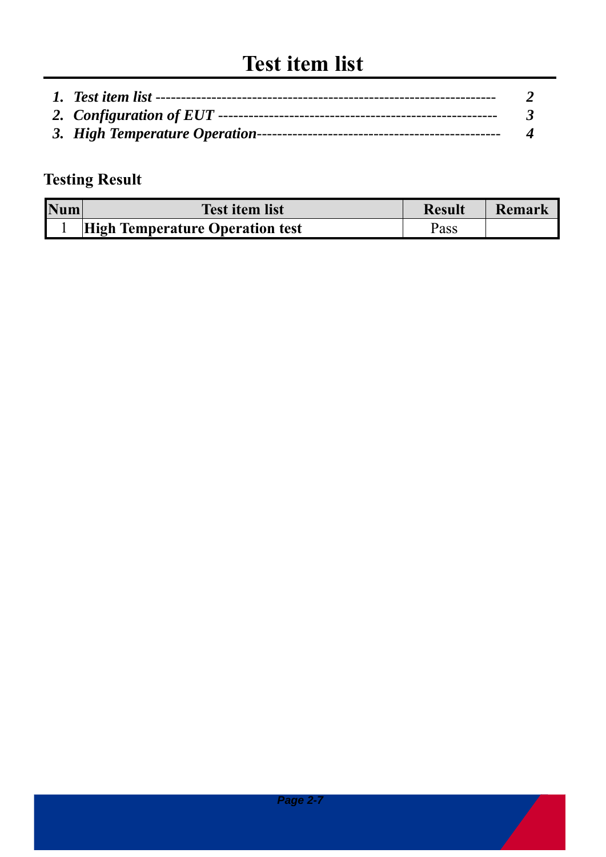### **Test item list**

### **Testing Result**

| <b>Num</b> | <b>Test item list</b>           | <b>Result</b> | Remark |
|------------|---------------------------------|---------------|--------|
|            | High Temperature Operation test | Pass          |        |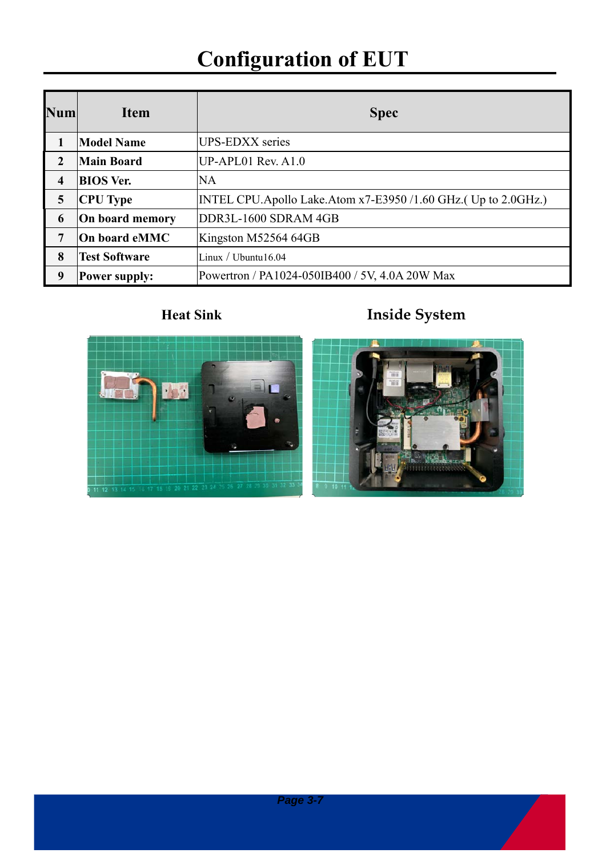### **Configuration of EUT**

| <b>Num</b> | <b>Item</b>          | <b>Spec</b>                                                    |
|------------|----------------------|----------------------------------------------------------------|
|            | <b>Model Name</b>    | <b>UPS-EDXX</b> series                                         |
| 2          | Main Board           | UP-APL01 Rev. A1.0                                             |
| 4          | <b>BIOS Ver.</b>     | <b>NA</b>                                                      |
| 5          | <b>CPU Type</b>      | INTEL CPU.Apollo Lake.Atom x7-E3950 /1.60 GHz.( Up to 2.0GHz.) |
| 6          | On board memory      | DDR3L-1600 SDRAM 4GB                                           |
| 7          | On board eMMC        | Kingston M52564 64GB                                           |
| 8          | <b>Test Software</b> | Linux / Ubuntu $16.04$                                         |
| 9          | <b>Power supply:</b> | Powertron / PA1024-050IB400 / 5V, 4.0A 20W Max                 |



### **Heat Sink Inside System**

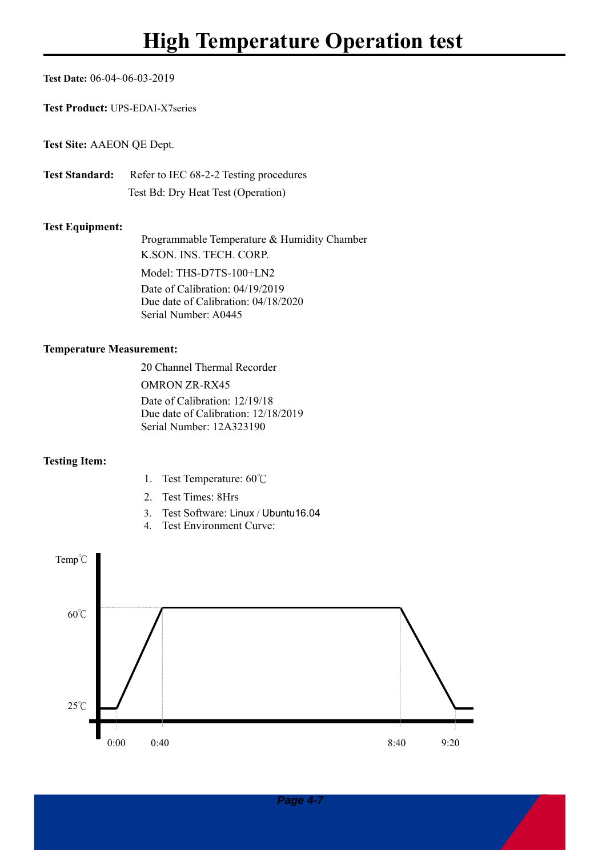#### **Test Date:** 06-04~06-03-2019

**Test Product:** UPS-EDAI-X7series

**Test Site:** AAEON QE Dept.

Test Standard: Refer to IEC 68-2-2 Testing procedures Test Bd: Dry Heat Test (Operation)

#### **Test Equipment:**

Programmable Temperature & Humidity Chamber K.SON. INS. TECH. CORP.

Model: THS-D7TS-100+LN2 Date of Calibration: 04/19/2019 Due date of Calibration: 04/18/2020 Serial Number: A0445

#### **Temperature Measurement:**

20 Channel Thermal Recorder

OMRON ZR-RX45

Date of Calibration: 12/19/18 Due date of Calibration: 12/18/2019 Serial Number: 12A323190

#### **Testing Item:**

- 1. Test Temperature: 60℃
- 2. Test Times: 8Hrs
- 3. Test Software: Linux / Ubuntu16.04
- 4. Test Environment Curve:

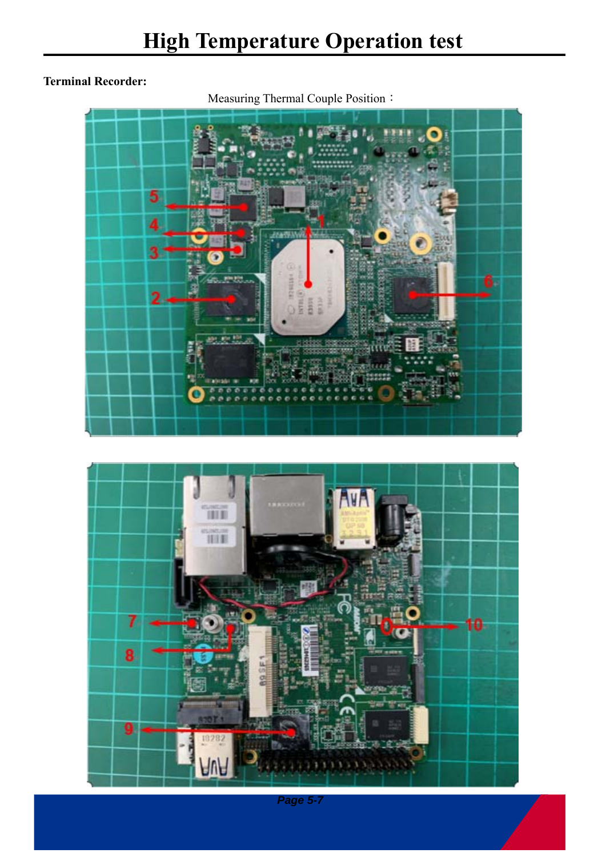#### **Terminal Recorder:**



Measuring Thermal Couple Position:

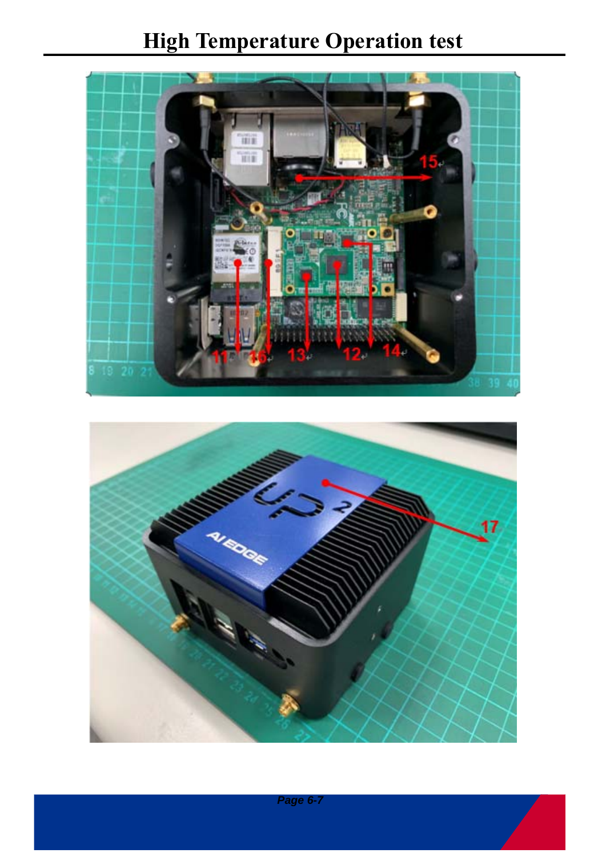### **High Temperature Operation test**